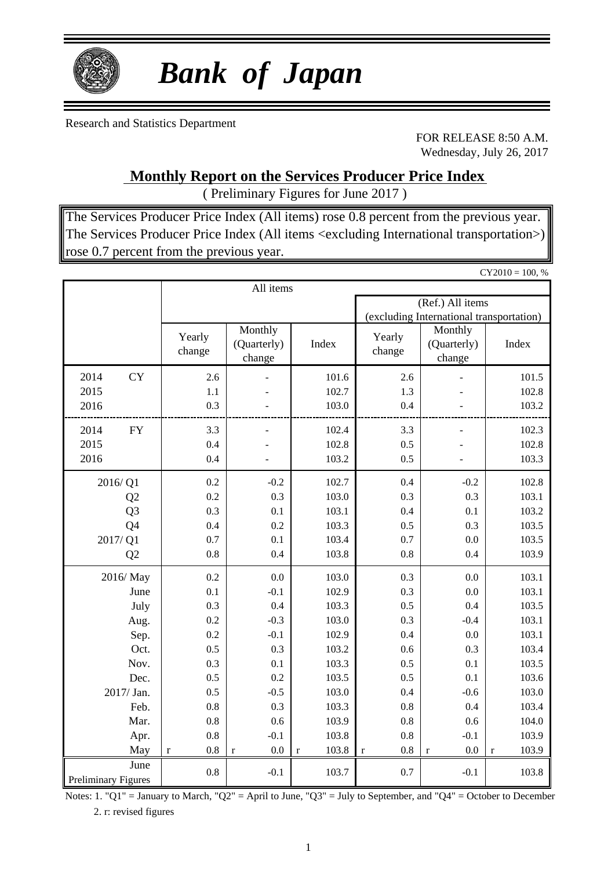

# *Bank of Japan*

Research and Statistics Department

FOR RELEASE 8:50 A.M. Wednesday, July 26, 2017

### **Monthly Report on the Services Producer Price Index**

( Preliminary Figures for June 2017 )

The Services Producer Price Index (All items) rose 0.8 percent from the previous year. The Services Producer Price Index (All items <excluding International transportation>) rose 0.7 percent from the previous year.

|                            |                    |                                  |                      |                                          |                                  | $CY2010 = 100, %$    |  |  |
|----------------------------|--------------------|----------------------------------|----------------------|------------------------------------------|----------------------------------|----------------------|--|--|
|                            |                    | All items                        |                      |                                          |                                  |                      |  |  |
|                            |                    |                                  |                      | (Ref.) All items                         |                                  |                      |  |  |
|                            |                    |                                  |                      | (excluding International transportation) |                                  |                      |  |  |
|                            | Yearly<br>change   | Monthly<br>(Quarterly)<br>change | Index                | Yearly<br>change                         | Monthly<br>(Quarterly)<br>change | Index                |  |  |
| <b>CY</b><br>2014          | 2.6                |                                  | 101.6                | 2.6                                      |                                  | 101.5                |  |  |
| 2015                       | 1.1                |                                  | 102.7                | 1.3                                      |                                  | 102.8                |  |  |
| 2016                       | 0.3                |                                  | 103.0                | 0.4                                      |                                  | 103.2                |  |  |
| 2014<br>${\rm FY}$         | 3.3                |                                  | 102.4                | 3.3                                      |                                  | 102.3                |  |  |
| 2015                       | 0.4                |                                  | 102.8                | 0.5                                      |                                  | 102.8                |  |  |
| 2016                       | 0.4                |                                  | 103.2                | 0.5                                      |                                  | 103.3                |  |  |
| 2016/Q1                    | 0.2                | $-0.2$                           | 102.7                | 0.4                                      | $-0.2$                           | 102.8                |  |  |
| Q2                         | 0.2                | 0.3                              | 103.0                | 0.3                                      | 0.3                              | 103.1                |  |  |
| Q <sub>3</sub>             | 0.3                | 0.1                              | 103.1                | 0.4                                      | 0.1                              | 103.2                |  |  |
| Q4                         | 0.4                | 0.2                              | 103.3                | 0.5                                      | 0.3                              | 103.5                |  |  |
| 2017/Q1                    | 0.7                | 0.1                              | 103.4                | 0.7                                      | 0.0                              | 103.5                |  |  |
| Q2                         | 0.8                | 0.4                              | 103.8                | 0.8                                      | 0.4                              | 103.9                |  |  |
| 2016/May                   | 0.2                | 0.0                              | 103.0                | 0.3                                      | 0.0                              | 103.1                |  |  |
| June                       | 0.1                | $-0.1$                           | 102.9                | 0.3                                      | 0.0                              | 103.1                |  |  |
| July                       | 0.3                | 0.4                              | 103.3                | 0.5                                      | 0.4                              | 103.5                |  |  |
| Aug.                       | 0.2                | $-0.3$                           | 103.0                | 0.3                                      | $-0.4$                           | 103.1                |  |  |
| Sep.                       | 0.2                | $-0.1$                           | 102.9                | 0.4                                      | 0.0                              | 103.1                |  |  |
| Oct.                       | 0.5                | 0.3                              | 103.2                | 0.6                                      | 0.3                              | 103.4                |  |  |
| Nov.                       | 0.3                | 0.1                              | 103.3                | 0.5                                      | 0.1                              | 103.5                |  |  |
| Dec.                       | 0.5                | 0.2                              | 103.5                | 0.5                                      | 0.1                              | 103.6                |  |  |
| 2017/ Jan.                 | 0.5                | $-0.5$                           | 103.0                | 0.4                                      | $-0.6$                           | 103.0                |  |  |
| Feb.                       | 0.8                | 0.3                              | 103.3                | 0.8                                      | 0.4                              | 103.4                |  |  |
| Mar.                       | 0.8                | 0.6                              | 103.9                | 0.8                                      | 0.6                              | 104.0                |  |  |
| Apr.                       | 0.8                | $-0.1$                           | 103.8                | 0.8                                      | $-0.1$                           | 103.9                |  |  |
| May                        | 0.8<br>$\mathbf r$ | 0.0<br>$\mathbf r$               | 103.8<br>$\mathbf r$ | 0.8<br>$\mathbf r$                       | $0.0\,$<br>$\mathbf r$           | 103.9<br>$\mathbf r$ |  |  |
| June                       | 0.8                | $-0.1$                           | 103.7                | 0.7                                      | $-0.1$                           | 103.8                |  |  |
| <b>Preliminary Figures</b> |                    |                                  |                      |                                          |                                  |                      |  |  |

Notes: 1. "Q1" = January to March, "Q2" = April to June, "Q3" = July to September, and "Q4" = October to December 2. r: revised figures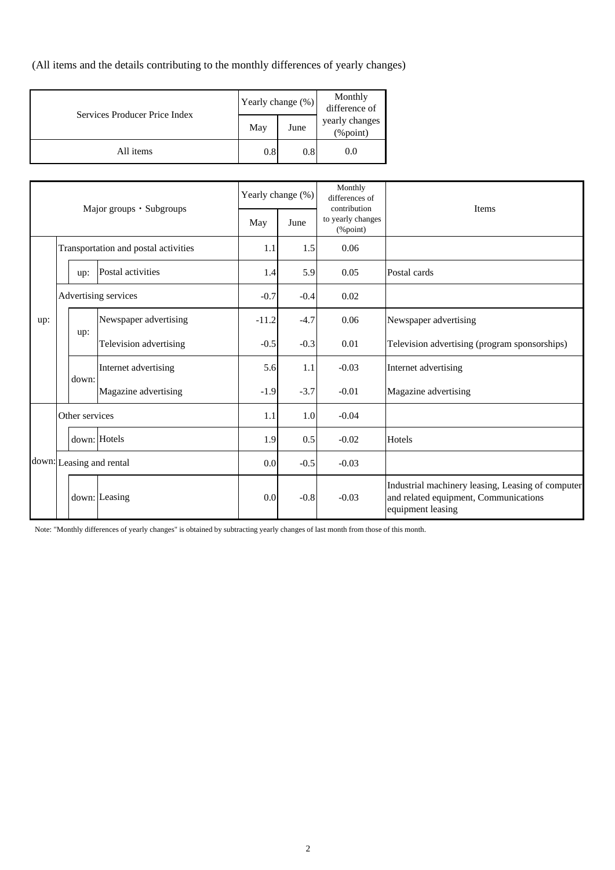(All items and the details contributing to the monthly differences of yearly changes)

| Services Producer Price Index | Yearly change (%) |      | Monthly<br>difference of   |
|-------------------------------|-------------------|------|----------------------------|
|                               | May               | June | yearly changes<br>(%point) |
| All items                     | 0.8               | 0.8  | 0.0                        |

| Major groups · Subgroups             |  |                          | Yearly change (%)      |         | Monthly<br>differences of<br>contribution | Items                         |                                                                                                                 |  |  |
|--------------------------------------|--|--------------------------|------------------------|---------|-------------------------------------------|-------------------------------|-----------------------------------------------------------------------------------------------------------------|--|--|
|                                      |  |                          |                        | May     | June                                      | to yearly changes<br>(%point) |                                                                                                                 |  |  |
| Transportation and postal activities |  | 1.1                      | 1.5                    | 0.06    |                                           |                               |                                                                                                                 |  |  |
|                                      |  | up:                      | Postal activities      | 1.4     | 5.9                                       | 0.05                          | Postal cards                                                                                                    |  |  |
|                                      |  | Advertising services     |                        | $-0.7$  | $-0.4$                                    | 0.02                          |                                                                                                                 |  |  |
| up:                                  |  |                          | Newspaper advertising  | $-11.2$ | $-4.7$                                    | 0.06                          | Newspaper advertising                                                                                           |  |  |
|                                      |  | up:                      | Television advertising | $-0.5$  | $-0.3$                                    | 0.01                          | Television advertising (program sponsorships)                                                                   |  |  |
|                                      |  | down:                    | Internet advertising   | 5.6     | 1.1                                       | $-0.03$                       | Internet advertising                                                                                            |  |  |
|                                      |  |                          | Magazine advertising   | $-1.9$  | $-3.7$                                    | $-0.01$                       | Magazine advertising                                                                                            |  |  |
|                                      |  | Other services           |                        | 1.1     | 1.0                                       | $-0.04$                       |                                                                                                                 |  |  |
|                                      |  |                          | down: Hotels           | 1.9     | 0.5                                       | $-0.02$                       | Hotels                                                                                                          |  |  |
|                                      |  | down: Leasing and rental |                        | 0.0     | $-0.5$                                    | $-0.03$                       |                                                                                                                 |  |  |
|                                      |  |                          | down: Leasing          | 0.0     | $-0.8$                                    | $-0.03$                       | Industrial machinery leasing, Leasing of computer<br>and related equipment, Communications<br>equipment leasing |  |  |

Note: "Monthly differences of yearly changes" is obtained by subtracting yearly changes of last month from those of this month.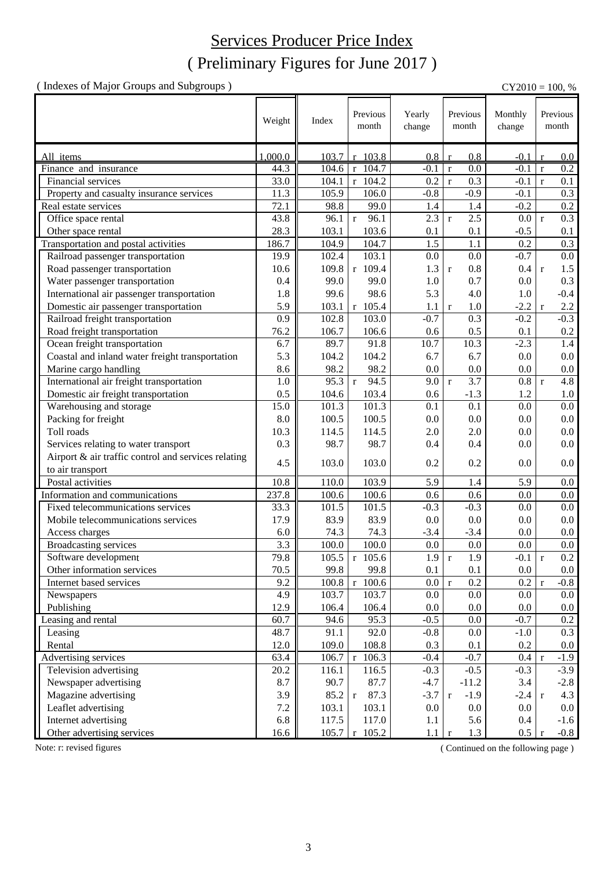### ( Preliminary Figures for June 2017 ) Services Producer Price Index

( Indexes of Major Groups and Subgroups ) CY2010 = 100, %

|                                                     |               |                    | Previous                | Yearly       | Previous                            | Monthly          | Previous                   |
|-----------------------------------------------------|---------------|--------------------|-------------------------|--------------|-------------------------------------|------------------|----------------------------|
|                                                     | Weight        | Index              | month                   | change       | month                               | change           | month                      |
|                                                     |               |                    |                         |              |                                     |                  |                            |
|                                                     | 1,000.0       |                    |                         | 0.8          | 0.8                                 |                  |                            |
| All items<br>Finance and insurance                  | 44.3          | 103.7<br>104.6     | r 103.8<br>$r$ 104.7    | $-0.1$       | $\mathbf{r}$<br>0.0<br>$\mathbf{r}$ | $-0.1$<br>$-0.1$ | 0.0<br>0.2<br>$\mathbf{r}$ |
| Financial services                                  | 33.0          | 104.1              | $r$ 104.2               | 0.2          | 0.3<br>$\mathbf{r}$                 | $-0.1$           | 0.1<br>$\mathbf{r}$        |
| Property and casualty insurance services            | 11.3          | 105.9              | 106.0                   | $-0.8$       | $-0.9$                              | $-0.1$           | 0.3                        |
| Real estate services                                | 72.1          | 98.8               | 99.0                    | 1.4          | 1.4                                 | $-0.2$           | $\overline{0.2}$           |
| Office space rental                                 | 43.8          | 96.1               | 96.1<br>$\mathbf r$     | 2.3          | 2.5<br>$\mathbf{r}$                 | 0.0              | 0.3<br>$\mathbf{r}$        |
|                                                     |               |                    |                         |              |                                     |                  |                            |
| Other space rental                                  | 28.3<br>186.7 | 103.1              | 103.6                   | 0.1          | 0.1                                 | $-0.5$           | 0.1                        |
| Transportation and postal activities                |               | 104.9              | 104.7                   | 1.5          | 1.1                                 | 0.2              | 0.3                        |
| Railroad passenger transportation                   | 19.9          | 102.4              | 103.1                   | 0.0          | 0.0                                 | $-0.7$           | 0.0                        |
| Road passenger transportation                       | 10.6          | 109.8              | $r$ 109.4               | 1.3          | 0.8<br>$\mathbf r$                  | 0.4              | 1.5<br>$\mathbf r$         |
| Water passenger transportation                      | 0.4           | 99.0               | 99.0                    | 1.0          | 0.7                                 | 0.0              | 0.3                        |
| International air passenger transportation          | 1.8           | 99.6               | 98.6                    | 5.3          | 4.0                                 | 1.0              | $-0.4$                     |
| Domestic air passenger transportation               | 5.9           | 103.1              | $r$ 105.4               | 1.1          | 1.0<br>$\mathbf r$                  | $-2.2$           | 2.2<br>$\mathbf r$         |
| Railroad freight transportation                     | 0.9           | 102.8              | 103.0                   | $-0.7$       | 0.3                                 | $-0.2$           | $-0.3$                     |
| Road freight transportation                         | 76.2          | 106.7              | 106.6                   | 0.6          | 0.5                                 | 0.1              | 0.2                        |
| Ocean freight transportation                        | 6.7           | 89.7               | 91.8                    | 10.7         | 10.3                                | $-2.3$           | 1.4                        |
| Coastal and inland water freight transportation     | 5.3           | 104.2              | 104.2                   | 6.7          | 6.7                                 | 0.0              | $0.0\,$                    |
| Marine cargo handling                               | 8.6           | 98.2               | 98.2                    | 0.0          | 0.0                                 | 0.0              | $0.0\,$                    |
| International air freight transportation            | 1.0           | 95.3               | 94.5<br>$\mathbf{r}$    | 9.0          | 3.7<br>$\mathbf{r}$                 | 0.8              | 4.8<br>$\mathbf{r}$        |
| Domestic air freight transportation                 | 0.5           | 104.6              | 103.4                   | 0.6          | $-1.3$                              | 1.2              | 1.0                        |
| Warehousing and storage                             | 15.0          | 101.3              | 101.3                   | 0.1          | 0.1                                 | 0.0              | $0.0\,$                    |
| Packing for freight                                 | 8.0           | 100.5              | 100.5                   | 0.0          | 0.0                                 | 0.0              | 0.0                        |
| Toll roads                                          | 10.3          | 114.5              | 114.5                   | 2.0          | 2.0                                 | 0.0              | 0.0                        |
| Services relating to water transport                | 0.3           | 98.7               | 98.7                    | 0.4          | 0.4                                 | 0.0              | 0.0                        |
| Airport & air traffic control and services relating |               |                    |                         |              |                                     |                  |                            |
| to air transport                                    | 4.5           | 103.0              | 103.0                   | 0.2          | 0.2                                 | 0.0              | 0.0                        |
| Postal activities                                   | 10.8          | 110.0              | 103.9                   | 5.9          | 1.4                                 | 5.9              | 0.0                        |
| Information and communications                      | 237.8         | 100.6              | 100.6                   | 0.6          | 0.6                                 | 0.0              | 0.0                        |
| Fixed telecommunications services                   | 33.3          | 101.5              | 101.5                   | $-0.3$       | $-0.3$                              | 0.0              | 0.0                        |
| Mobile telecommunications services                  | 17.9          | 83.9               | 83.9                    | 0.0          | 0.0                                 | 0.0              | $0.0\,$                    |
| Access charges                                      | 6.0           | 74.3               | 74.3                    | $-3.4$       | $-3.4$                              | 0.0              | 0.0                        |
| <b>Broadcasting services</b>                        | 3.3           | 100.0              | 100.0                   | 0.0          | 0.0                                 | 0.0              | 0.0                        |
| Software development                                | 79.8          | $105.\overline{5}$ | $r$ 105.6               | $1.9 \mid r$ | 1.9                                 | -0.1   r         | $0.2\,$                    |
| Other information services                          | 70.5          | 99.8               | 99.8                    | 0.1          | 0.1                                 | $0.0\,$          | $0.0\,$                    |
| Internet based services                             | 9.2           | 100.8              | $r$ 100.6               | 0.0          | 0.2<br>$\mathbf r$                  | 0.2              | $-0.8$<br>$\mathbf{r}$     |
| Newspapers                                          | 4.9           | 103.7              | 103.7                   | 0.0          | 0.0                                 | 0.0              | 0.0                        |
| Publishing                                          | 12.9          | 106.4              | 106.4                   | 0.0          | 0.0                                 | 0.0              | $0.0\,$                    |
| Leasing and rental                                  | 60.7          | 94.6               | 95.3                    | $-0.5$       | 0.0                                 | $-0.7$           | 0.2                        |
|                                                     | 48.7          | 91.1               | 92.0                    | $-0.8$       | 0.0                                 | $-1.0$           | 0.3                        |
| Leasing                                             | 12.0          |                    |                         |              |                                     |                  |                            |
| Rental                                              | 63.4          | 109.0              | 108.8                   | 0.3          | 0.1                                 | 0.2              | $0.0\,$                    |
| Advertising services                                |               | 106.7              | $r$ 106.3               | $-0.4$       | $-0.7$                              | 0.4              | $-1.9$<br>$\mathbf{r}$     |
| Television advertising                              | 20.2          | 116.1              | 116.5                   | $-0.3$       | $-0.5$                              | $-0.3$           | $-3.9$                     |
| Newspaper advertising                               | 8.7           | 90.7               | 87.7                    | $-4.7$       | $-11.2$                             | 3.4              | $-2.8$                     |
| Magazine advertising                                | 3.9           | 85.2               | 87.3<br>$r_{\parallel}$ | $-3.7$       | $-1.9$<br>$\mathbf{r}$              | $-2.4$           | 4.3<br>$\mathbf{r}$        |
| Leaflet advertising                                 | 7.2           | 103.1              | 103.1                   | 0.0          | 0.0                                 | 0.0              | $0.0\,$                    |
| Internet advertising                                | 6.8           | 117.5              | 117.0                   | 1.1          | 5.6                                 | 0.4              | $-1.6$                     |
| Other advertising services                          | 16.6          | 105.7              | $r$ 105.2               | 1.1          | 1.3<br>$\mathbf{r}$                 | $0.5\,$          | $-0.8$                     |

Note: r: revised figures (Continued on the following page)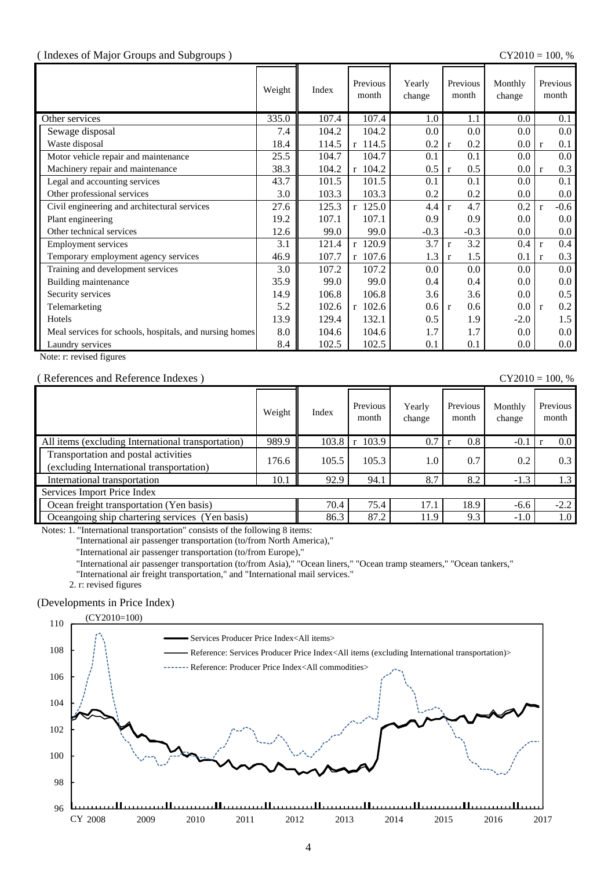#### ( Indexes of Major Groups and Subgroups ) CY2010 = 100, %

|                                                         | Weight | Index | Previous<br>month | Yearly<br>change | Previous<br>month   | Monthly<br>change | Previous<br>month      |
|---------------------------------------------------------|--------|-------|-------------------|------------------|---------------------|-------------------|------------------------|
| Other services                                          | 335.0  | 107.4 | 107.4             | 1.0              | 1.1                 | 0.0               | 0.1                    |
| Sewage disposal                                         | 7.4    | 104.2 | 104.2             | 0.0              | 0.0                 | 0.0               | $0.0\,$                |
| Waste disposal                                          | 18.4   | 114.5 | $r$ 114.5         | 0.2              | 0.2<br>$\mathbf{r}$ | 0.0               | 0.1<br>$\mathbf{r}$    |
| Motor vehicle repair and maintenance                    | 25.5   | 104.7 | 104.7             | 0.1              | 0.1                 | 0.0               | $0.0\,$                |
| Machinery repair and maintenance                        | 38.3   | 104.2 | $r$ 104.2         | 0.5              | 0.5<br>$\mathbf{r}$ | 0.0               | 0.3<br>$\mathbf{r}$    |
| Legal and accounting services                           | 43.7   | 101.5 | 101.5             | 0.1              | 0.1                 | $0.0\,$           | 0.1                    |
| Other professional services                             | 3.0    | 103.3 | 103.3             | 0.2              | 0.2                 | $0.0\,$           | $0.0\,$                |
| Civil engineering and architectural services            | 27.6   | 125.3 | $r$ 125.0         | 4.4              | 4.7<br>$\mathbf{r}$ | 0.2               | $-0.6$<br>$\mathbf{r}$ |
| Plant engineering                                       | 19.2   | 107.1 | 107.1             | 0.9              | 0.9                 | 0.0               | $0.0\,$                |
| Other technical services                                | 12.6   | 99.0  | 99.0              | $-0.3$           | $-0.3$              | 0.0               | $0.0\,$                |
| <b>Employment services</b>                              | 3.1    | 121.4 | $r$ 120.9         | 3.7              | 3.2<br>$\mathbf{r}$ | 0.4               | 0.4<br>$\mathbf{r}$    |
| Temporary employment agency services                    | 46.9   | 107.7 | $r$ 107.6         | 1.3              | 1.5<br>$\mathbf{r}$ | 0.1               | 0.3<br>$\mathbf{r}$    |
| Training and development services                       | 3.0    | 107.2 | 107.2             | 0.0              | 0.0                 | 0.0               | $0.0\,$                |
| Building maintenance                                    | 35.9   | 99.0  | 99.0              | 0.4              | 0.4                 | $0.0\,$           | $0.0\,$                |
| Security services                                       | 14.9   | 106.8 | 106.8             | 3.6              | 3.6                 | $0.0\,$           | 0.5                    |
| Telemarketing                                           | 5.2    | 102.6 | $r$ 102.6         | 0.6              | 0.6<br>$\mathbf{r}$ | 0.0               | 0.2<br>$\mathbf{r}$    |
| Hotels                                                  | 13.9   | 129.4 | 132.1             | 0.5              | 1.9                 | $-2.0$            | 1.5                    |
| Meal services for schools, hospitals, and nursing homes | 8.0    | 104.6 | 104.6             | 1.7              | 1.7                 | $0.0\,$           | $0.0\,$                |
| Laundry services                                        | 8.4    | 102.5 | 102.5             | 0.1              | 0.1                 | $0.0\,$           | $0.0\,$                |

Note: r: revised figures

#### ( References and Reference Indexes ) CY2010 = 100, %

|                                                                                  | Weight | Index | Previous<br>month | Yearly<br>change | Previous<br>month | Monthly<br>change | Previous<br>month |
|----------------------------------------------------------------------------------|--------|-------|-------------------|------------------|-------------------|-------------------|-------------------|
| All items (excluding International transportation)                               | 989.9  | 103.8 | 103.9             | 0.7              | 0.8               | $-0.1$            | $0.0\,$           |
| Transportation and postal activities<br>(excluding International transportation) | 176.6  | 105.5 | 105.3             | 1.0              | 0.7               | 0.2               | 0.3               |
| International transportation                                                     | 10.1   | 92.9  | 94.1              | 8.7              | 8.2               | $-1.3$            | 1.3               |
| Services Import Price Index                                                      |        |       |                   |                  |                   |                   |                   |
| Ocean freight transportation (Yen basis)                                         |        | 70.4  | 75.4              | 17.1             | 18.9              | $-6.6$            | $-2.2$            |
| Cocangoing ship chartering services (Yen basis)                                  |        | 86.3  | 87.2              | 11.9             | 9.3               | $-1.0$            | 1.0               |

Notes: 1. "International transportation" consists of the following 8 items:

"International air passenger transportation (to/from North America),"

"International air passenger transportation (to/from Europe),"

"International air passenger transportation (to/from Asia)," "Ocean liners," "Ocean tramp steamers," "Ocean tankers,"

"International air freight transportation," and "International mail services."

2. r: revised figures

#### (Developments in Price Index)